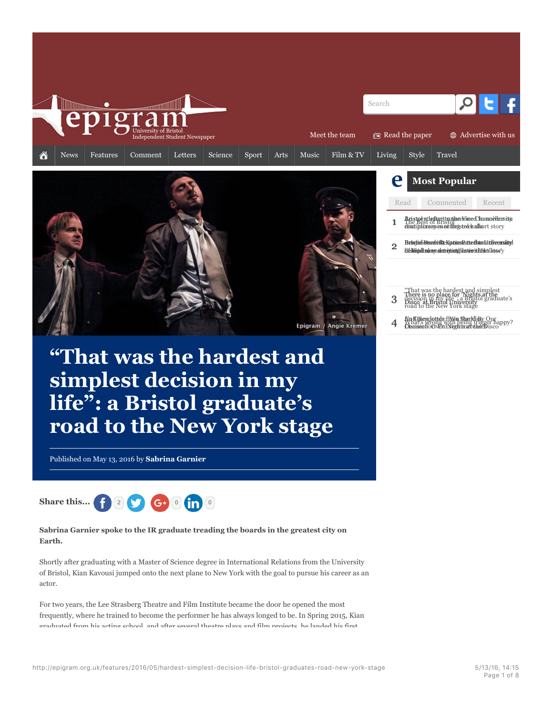



| ving                                                                                                               |                          | Style                                                                                                                        | Travel                                                                                                                                                                                |        |  |  |
|--------------------------------------------------------------------------------------------------------------------|--------------------------|------------------------------------------------------------------------------------------------------------------------------|---------------------------------------------------------------------------------------------------------------------------------------------------------------------------------------|--------|--|--|
|                                                                                                                    | e<br><b>Most Popular</b> |                                                                                                                              |                                                                                                                                                                                       |        |  |  |
|                                                                                                                    |                          | Read                                                                                                                         | Commented                                                                                                                                                                             | Recent |  |  |
| BristpentledtenttsutherMicedJaannevlensity<br>The Best of Bristol<br>desdiplurengen ectergstoch silvort story<br>1 |                          |                                                                                                                              |                                                                                                                                                                                       |        |  |  |
|                                                                                                                    | $\overline{2}$           | Bristvi Guarith-Katieskutetsko Litliversitvl<br>bl fslíðinindil mala ann almtrónini til að lastar og ísl höfsluti 1 storu þv |                                                                                                                                                                                       |        |  |  |
|                                                                                                                    |                          |                                                                                                                              |                                                                                                                                                                                       |        |  |  |
|                                                                                                                    | 3                        |                                                                                                                              | "That was the hardest and simplest<br>There is no place for "Nights at the<br>decision in my life": a Bristol graduate's<br>Disco at Bristol University<br>road to the New York stage |        |  |  |
|                                                                                                                    |                          |                                                                                                                              | .<br>Vnat's wrong with being trigger happy?<br>Dearscollocy@niNeghtmarchseBisco                                                                                                       |        |  |  |

# **"That was the hardest and simplest decision in my life": a Bristol graduate's road to the New York stage**

Published on May 13, 2016 by **Sabrina Garnier**



**Sabrina Garnier spoke to the IR graduate treading the boards in the greatest city on Earth.**

Shortly after graduating with a Master of Science degree in International Relations from the University of Bristol, Kian Kavousi jumped onto the next plane to New York with the goal to pursue his career as an actor.

For two years, the Lee Strasberg Theatre and Film Institute became the door he opened the most frequently, where he trained to become the performer he has always longed to be. In Spring 2015, Kian graduated from his acting school, and after several theatre plays and film projects, he landed his first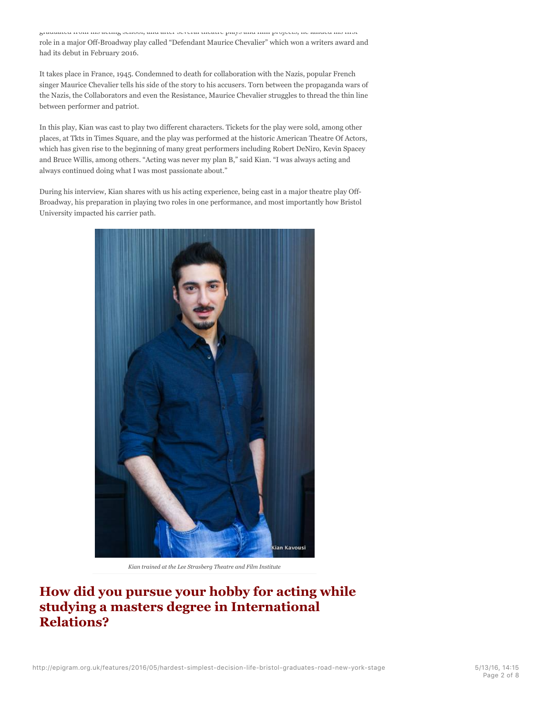graduated from his acting school, and after several theatre plays and film projects, he landed his first role in a major Off-Broadway play called "Defendant Maurice Chevalier" which won a writers award and had its debut in February 2016.

It takes place in France, 1945. Condemned to death for collaboration with the Nazis, popular French singer Maurice Chevalier tells his side of the story to his accusers. Torn between the propaganda wars of the Nazis, the Collaborators and even the Resistance, Maurice Chevalier struggles to thread the thin line between performer and patriot.

In this play, Kian was cast to play two different characters. Tickets for the play were sold, among other places, at Tkts in Times Square, and the play was performed at the historic American Theatre Of Actors, which has given rise to the beginning of many great performers including Robert DeNiro, Kevin Spacey and Bruce Willis, among others. "Acting was never my plan B," said Kian. "I was always acting and always continued doing what I was most passionate about."

During his interview, Kian shares with us his acting experience, being cast in a major theatre play Off-Broadway, his preparation in playing two roles in one performance, and most importantly how Bristol University impacted his carrier path.



*Kian trained at the Lee Strasberg Theatre and Film Institute*

**How did you pursue your hobby for acting while studying a masters degree in International Relations?**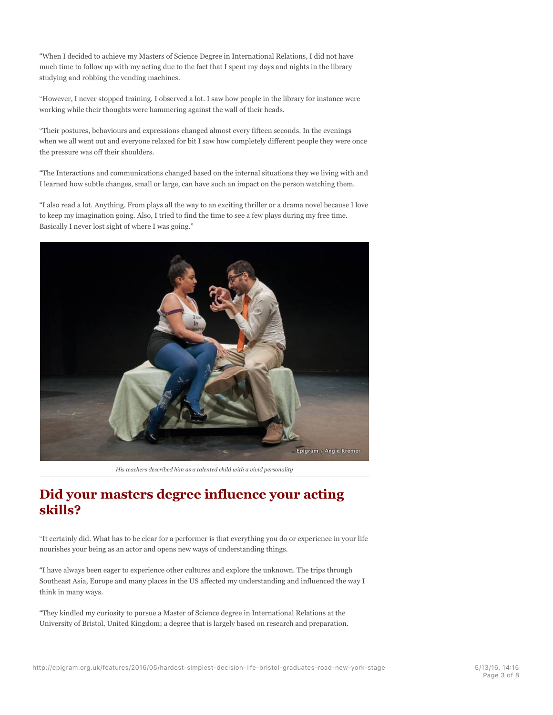"When I decided to achieve my Masters of Science Degree in International Relations, I did not have much time to follow up with my acting due to the fact that I spent my days and nights in the library studying and robbing the vending machines.

"However, I never stopped training. I observed a lot. I saw how people in the library for instance were working while their thoughts were hammering against the wall of their heads.

"Their postures, behaviours and expressions changed almost every fifteen seconds. In the evenings when we all went out and everyone relaxed for bit I saw how completely different people they were once the pressure was off their shoulders.

"The Interactions and communications changed based on the internal situations they we living with and I learned how subtle changes, small or large, can have such an impact on the person watching them.

"I also read a lot. Anything. From plays all the way to an exciting thriller or a drama novel because I love to keep my imagination going. Also, I tried to find the time to see a few plays during my free time. Basically I never lost sight of where I was going."



*His teachers described him as a talented child with a vivid personality*

#### **Did your masters degree influence your acting skills?**

"It certainly did. What has to be clear for a performer is that everything you do or experience in your life nourishes your being as an actor and opens new ways of understanding things.

"I have always been eager to experience other cultures and explore the unknown. The trips through Southeast Asia, Europe and many places in the US affected my understanding and influenced the way I think in many ways.

"They kindled my curiosity to pursue a Master of Science degree in International Relations at the University of Bristol, United Kingdom; a degree that is largely based on research and preparation.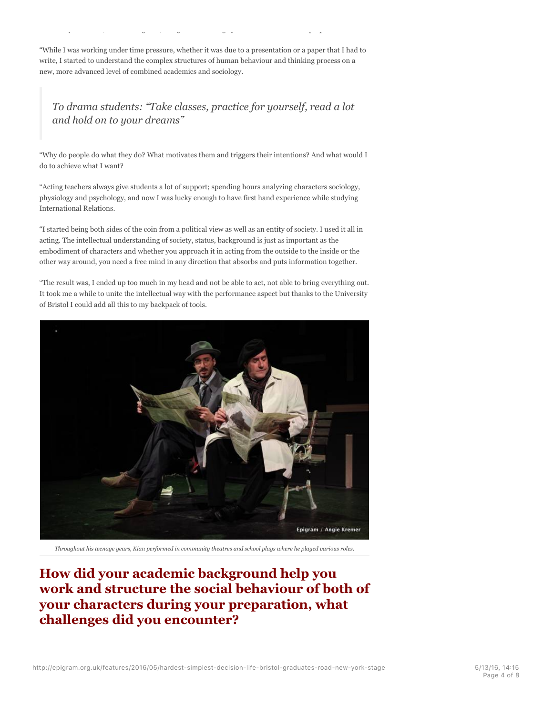"While I was working under time pressure, whether it was due to a presentation or a paper that I had to write, I started to understand the complex structures of human behaviour and thinking process on a new, more advanced level of combined academics and sociology.

University of Bristol, United Kingdom; a degree that is largely based on research and preparation.

#### *To drama students: "Take classes, practice for yourself, read a lot and hold on to your dreams"*

"Why do people do what they do? What motivates them and triggers their intentions? And what would I do to achieve what I want?

"Acting teachers always give students a lot of support; spending hours analyzing characters sociology, physiology and psychology, and now I was lucky enough to have first hand experience while studying International Relations.

"I started being both sides of the coin from a political view as well as an entity of society. I used it all in acting. The intellectual understanding of society, status, background is just as important as the embodiment of characters and whether you approach it in acting from the outside to the inside or the other way around, you need a free mind in any direction that absorbs and puts information together.

"The result was, I ended up too much in my head and not be able to act, not able to bring everything out. It took me a while to unite the intellectual way with the performance aspect but thanks to the University of Bristol I could add all this to my backpack of tools.



*Throughout his teenage years, Kian performed in community theatres and school plays where he played various roles.*

#### **How did your academic background help you work and structure the social behaviour of both of your characters during your preparation, what challenges did you encounter?**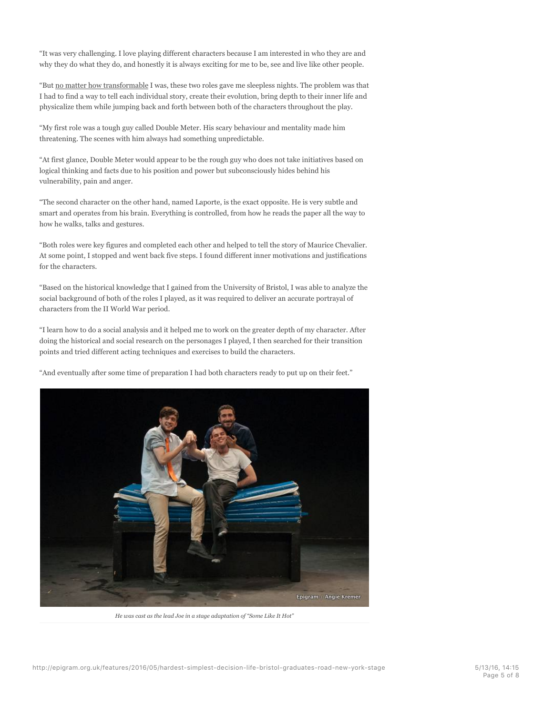"It was very challenging. I love playing different characters because I am interested in who they are and why they do what they do, and honestly it is always exciting for me to be, see and live like other people.

"But no matter how transformable I was, these two roles gave me sleepless nights. The problem was that I had to find a way to tell each individual story, create their evolution, bring depth to their inner life and physicalize them while jumping back and forth between both of the characters throughout the play.

"My first role was a tough guy called Double Meter. His scary behaviour and mentality made him threatening. The scenes with him always had something unpredictable.

"At first glance, Double Meter would appear to be the rough guy who does not take initiatives based on logical thinking and facts due to his position and power but subconsciously hides behind his vulnerability, pain and anger.

"The second character on the other hand, named Laporte, is the exact opposite. He is very subtle and smart and operates from his brain. Everything is controlled, from how he reads the paper all the way to how he walks, talks and gestures.

"Both roles were key figures and completed each other and helped to tell the story of Maurice Chevalier. At some point, I stopped and went back five steps. I found different inner motivations and justifications for the characters.

"Based on the historical knowledge that I gained from the University of Bristol, I was able to analyze the social background of both of the roles I played, as it was required to deliver an accurate portrayal of characters from the II World War period.

"I learn how to do a social analysis and it helped me to work on the greater depth of my character. After doing the historical and social research on the personages I played, I then searched for their transition points and tried different acting techniques and exercises to build the characters.

"And eventually after some time of preparation I had both characters ready to put up on their feet."



*He was cast as the lead Joe in a stage adaptation of "Some Like It Hot"*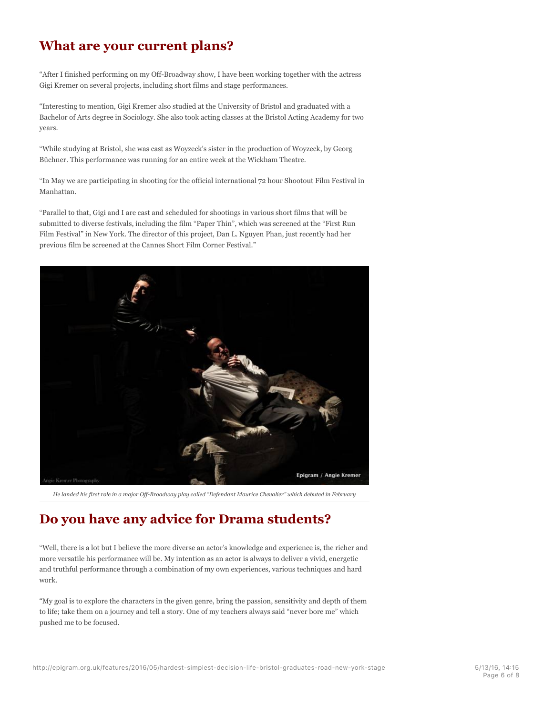## **What are your current plans?**

"After I finished performing on my Off-Broadway show, I have been working together with the actress Gigi Kremer on several projects, including short films and stage performances.

"Interesting to mention, Gigi Kremer also studied at the University of Bristol and graduated with a Bachelor of Arts degree in Sociology. She also took acting classes at the Bristol Acting Academy for two years.

"While studying at Bristol, she was cast as Woyzeck's sister in the production of Woyzeck, by Georg Büchner. This performance was running for an entire week at the Wickham Theatre.

"In May we are participating in shooting for the official international 72 hour Shootout Film Festival in Manhattan.

"Parallel to that, Gigi and I are cast and scheduled for shootings in various short films that will be submitted to diverse festivals, including the film "Paper Thin", which was screened at the "First Run Film Festival" in New York. The director of this project, Dan L. Nguyen Phan, just recently had her previous film be screened at the Cannes Short Film Corner Festival."



*He landed his first role in a major Off-Broadway play called "Defendant Maurice Chevalier" which debuted in February*

#### **Do you have any advice for Drama students?**

"Well, there is a lot but I believe the more diverse an actor's knowledge and experience is, the richer and more versatile his performance will be. My intention as an actor is always to deliver a vivid, energetic and truthful performance through a combination of my own experiences, various techniques and hard work.

"My goal is to explore the characters in the given genre, bring the passion, sensitivity and depth of them to life; take them on a journey and tell a story. One of my teachers always said "never bore me" which pushed me to be focused.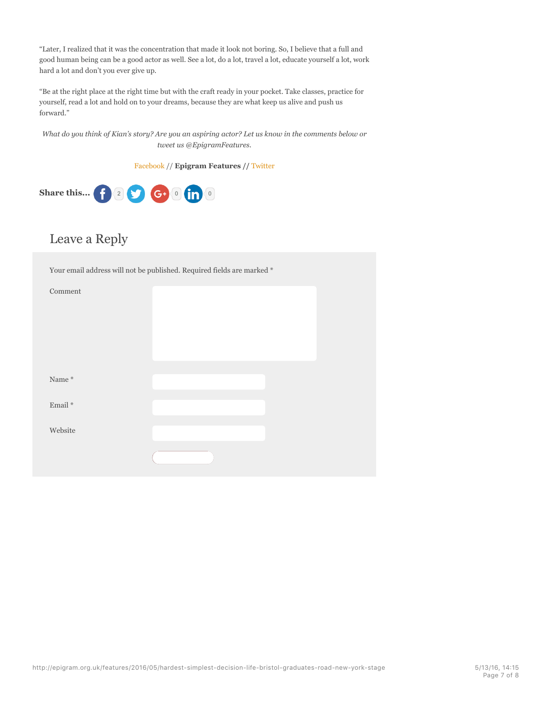"Later, I realized that it was the concentration that made it look not boring. So, I believe that a full and good human being can be a good actor as well. See a lot, do a lot, travel a lot, educate yourself a lot, work hard a lot and don't you ever give up.

"Be at the right place at the right time but with the craft ready in your pocket. Take classes, practice for yourself, read a lot and hold on to your dreams, because they are what keep us alive and push us forward."

*What do you think of Kian's story? Are you an aspiring actor? Let us know in the comments below or tweet us @EpigramFeatures.*

Facebook // **Epigram Features //** Twitter



### Leave a Reply

Your email address will not be published. Required fields are marked  $^\ast$ 

| Name $^\ast$             |  |  |
|--------------------------|--|--|
| $\operatorname{Email}$ * |  |  |
| Website                  |  |  |
|                          |  |  |